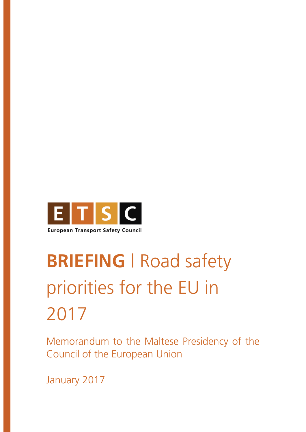

# **BRIEFING** | Road safety priorities for the EU in 2017

Memorandum to the Maltese Presidency of the Council of the European Union

January 2017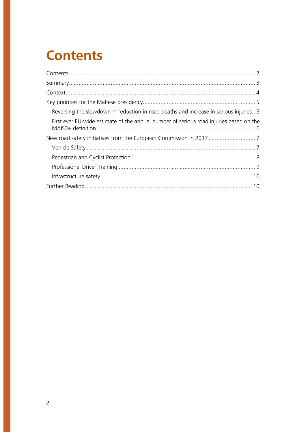### **Contents**

| Reversing the slowdown in reduction in road deaths and increase in serious injuries5   |  |
|----------------------------------------------------------------------------------------|--|
| First ever EU-wide estimate of the annual number of serious road injuries based on the |  |
|                                                                                        |  |
|                                                                                        |  |
|                                                                                        |  |
|                                                                                        |  |
|                                                                                        |  |
|                                                                                        |  |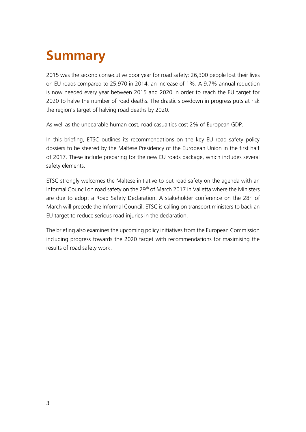## **Summary**

2015 was the second consecutive poor year for road safety: 26,300 people lost their lives on EU roads compared to 25,970 in 2014, an increase of 1%. A 9.7% annual reduction is now needed every year between 2015 and 2020 in order to reach the EU target for 2020 to halve the number of road deaths. The drastic slowdown in progress puts at risk the region's target of halving road deaths by 2020.

As well as the unbearable human cost, road casualties cost 2% of European GDP.

In this briefing, ETSC outlines its recommendations on the key EU road safety policy dossiers to be steered by the Maltese Presidency of the European Union in the first half of 2017. These include preparing for the new EU roads package, which includes several safety elements.

ETSC strongly welcomes the Maltese initiative to put road safety on the agenda with an Informal Council on road safety on the 29<sup>th</sup> of March 2017 in Valletta where the Ministers are due to adopt a Road Safety Declaration. A stakeholder conference on the  $28<sup>th</sup>$  of March will precede the Informal Council. ETSC is calling on transport ministers to back an EU target to reduce serious road injuries in the declaration.

The briefing also examines the upcoming policy initiatives from the European Commission including progress towards the 2020 target with recommendations for maximising the results of road safety work.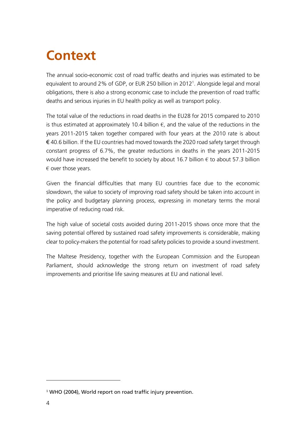### **Context**

The annual socio-economic cost of road traffic deaths and injuries was estimated to be equivalent to around 2% of GDP, or EUR 250 billion in 2012<sup>1</sup>. Alongside legal and moral obligations, there is also a strong economic case to include the prevention of road traffic deaths and serious injuries in EU health policy as well as transport policy.

The total value of the reductions in road deaths in the EU28 for 2015 compared to 2010 is thus estimated at approximately 10.4 billion  $\epsilon$ , and the value of the reductions in the years 2011-2015 taken together compared with four years at the 2010 rate is about  $\epsilon$  40.6 billion. If the EU countries had moved towards the 2020 road safety target through constant progress of 6.7%, the greater reductions in deaths in the years 2011-2015 would have increased the benefit to society by about 16.7 billion  $\epsilon$  to about 57.3 billion  $\epsilon$  over those years.

Given the financial difficulties that many EU countries face due to the economic slowdown, the value to society of improving road safety should be taken into account in the policy and budgetary planning process, expressing in monetary terms the moral imperative of reducing road risk.

The high value of societal costs avoided during 2011-2015 shows once more that the saving potential offered by sustained road safety improvements is considerable, making clear to policy-makers the potential for road safety policies to provide a sound investment.

The Maltese Presidency, together with the European Commission and the European Parliament, should acknowledge the strong return on investment of road safety improvements and prioritise life saving measures at EU and national level.

<sup>&</sup>lt;sup>1</sup> WHO (2004), World report on road traffic injury prevention.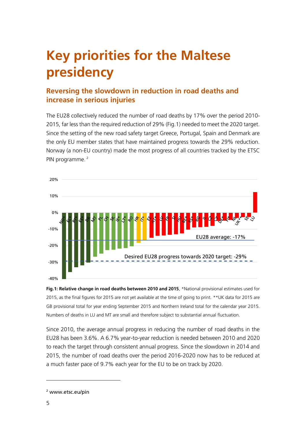## **Key priorities for the Maltese presidency**

#### **Reversing the slowdown in reduction in road deaths and increase in serious injuries**

The EU28 collectively reduced the number of road deaths by 17% over the period 2010- 2015, far less than the required reduction of 29% (Fig.1) needed to meet the 2020 target. Since the setting of the new road safety target Greece, Portugal, Spain and Denmark are the only EU member states that have maintained progress towards the 29% reduction. Norway (a non-EU country) made the most progress of all countries tracked by the ETSC PIN programme.<sup>2</sup>



**Fig.1: Relative change in road deaths between 2010 and 2015**. \*National provisional estimates used for 2015, as the final figures for 2015 are not yet available at the time of going to print. \*\*UK data for 2015 are GB provisional total for year ending September 2015 and Northern Ireland total for the calendar year 2015. Numbers of deaths in LU and MT are small and therefore subject to substantial annual fluctuation.

Since 2010, the average annual progress in reducing the number of road deaths in the EU28 has been 3.6%. A 6.7% year-to-year reduction is needed between 2010 and 2020 to reach the target through consistent annual progress. Since the slowdown in 2014 and 2015, the number of road deaths over the period 2016-2020 now has to be reduced at a much faster pace of 9.7% each year for the EU to be on track by 2020.

<sup>2</sup> www.etsc.eu/pin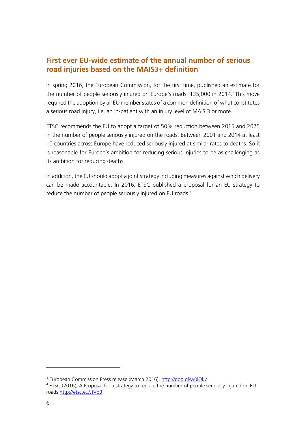#### **First ever EU-wide estimate of the annual number of serious road injuries based on the MAIS3+ definition**

In spring 2016, the European Commission, for the first time, published an estimate for the number of people seriously injured on Europe's roads: 135,000 in 2014.<sup>3</sup> This move required the adoption by all EU member states of a common definition of what constitutes a serious road injury, i.e. an in-patient with an injury level of MAIS 3 or more.

ETSC recommends the EU to adopt a target of 50% reduction between 2015 and 2025 in the number of people seriously injured on the roads. Between 2001 and 2014 at least 10 countries across Europe have reduced seriously injured at similar rates to deaths. So it is reasonable for Europe's ambition for reducing serious injuries to be as challenging as its ambition for reducing deaths.

In addition, the EU should adopt a joint strategy including measures against which delivery can be made accountable. In 2016, ETSC published a proposal for an EU strategy to reduce the number of people seriously injured on EU roads.<sup>4</sup>

 $\overline{\phantom{a}}$ 

<sup>&</sup>lt;sup>3</sup> European Commission Press release (March 2016), <u>http://goo.gl/w0lQkv</u>

<sup>&</sup>lt;sup>4</sup> ETSC (2016), A Proposal for a strategy to reduce the number of people seriously injured on EU roads<http://etsc.eu/JtVp3>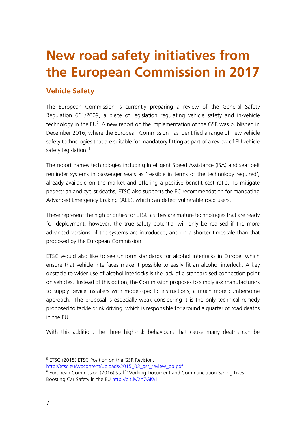### **New road safety initiatives from the European Commission in 2017**

#### **Vehicle Safety**

The European Commission is currently preparing a review of the General Safety Regulation 661/2009, a piece of legislation regulating vehicle safety and in-vehicle technology in the EU<sup>5</sup>. A new report on the implementation of the GSR was published in December 2016, where the European Commission has identified a range of new vehicle safety technologies that are suitable for mandatory fitting as part of a review of EU vehicle safety legislation.<sup>6</sup>

The report names technologies including Intelligent Speed Assistance (ISA) and seat belt reminder systems in passenger seats as 'feasible in terms of the technology required', already available on the market and offering a positive benefit-cost ratio. To mitigate pedestrian and cyclist deaths, ETSC also supports the EC recommendation for mandating Advanced Emergency Braking (AEB), which can detect vulnerable road users.

These represent the high priorities for ETSC as they are mature technologies that are ready for deployment, however, the true safety potential will only be realised if the more advanced versions of the systems are introduced, and on a shorter timescale than that proposed by the European Commission.

ETSC would also like to see uniform standards for alcohol interlocks in Europe, which ensure that vehicle interfaces make it possible to easily fit an alcohol interlock. A key obstacle to wider use of alcohol interlocks is the lack of a standardised connection point on vehicles. Instead of this option, the Commission proposes to simply ask manufacturers to supply device installers with model-specific instructions, a much more cumbersome approach. The proposal is especially weak considering it is the only technical remedy proposed to tackle drink driving, which is responsible for around a quarter of road deaths in the EU.

With this addition, the three high-risk behaviours that cause many deaths can be

 $\overline{a}$ 

<sup>5</sup> ETSC (2015) ETSC Position on the GSR Revision.

[http://etsc.eu/wpcontent/uploads/2015\\_03\\_gsr\\_review\\_pp.pdf](http://etsc.eu/wpcontent/uploads/2015_03_gsr_review_pp.pdf)

<sup>&</sup>lt;sup>6</sup> European Commission (2016) Staff Working Document and Communciation Saving Lives : Boosting Car Safety in the EU<http://bit.ly/2h7GKy1>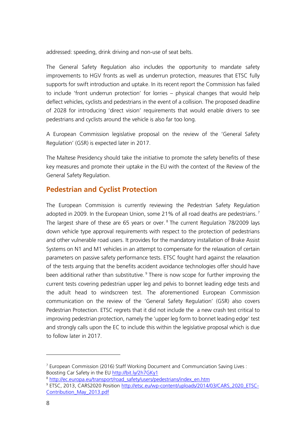addressed: speeding, drink driving and non-use of seat belts.

The General Safety Regulation also includes the opportunity to mandate safety improvements to HGV fronts as well as underrun protection, measures that ETSC fully supports for swift introduction and uptake. In its recent report the Commission has failed to include 'front underrun protection' for lorries – physical changes that would help deflect vehicles, cyclists and pedestrians in the event of a collision. The proposed deadline of 2028 for introducing 'direct vision' requirements that would enable drivers to see pedestrians and cyclists around the vehicle is also far too long.

A European Commission legislative proposal on the review of the 'General Safety Regulation' (GSR) is expected later in 2017.

The Maltese Presidency should take the initiative to promote the safety benefits of these key measures and promote their uptake in the EU with the context of the Review of the General Safety Regulation.

#### **Pedestrian and Cyclist Protection**

The European Commission is currently reviewing the Pedestrian Safety Regulation adopted in 2009. In the European Union, some 21% of all road deaths are pedestrians.<sup>7</sup> The largest share of these are 65 years or over. <sup>8</sup> The current Regulation 78/2009 lays down vehicle type approval requirements with respect to the protection of pedestrians and other vulnerable road users. It provides for the mandatory installation of Brake Assist Systems on N1 and M1 vehicles in an attempt to compensate for the relaxation of certain parameters on passive safety performance tests. ETSC fought hard against the relaxation of the tests arguing that the benefits accident avoidance technologies offer should have been additional rather than substitutive.<sup>9</sup> There is now scope for further improving the current tests covering pedestrian upper leg and pelvis to bonnet leading edge tests and the adult head to windscreen test. The aforementioned European Commission communication on the review of the 'General Safety Regulation' (GSR) also covers Pedestrian Protection. ETSC regrets that it did not include the a new crash test critical to improving pedestrian protection, namely the 'upper leg form to bonnet leading edge' test and strongly calls upon the EC to include this within the legislative proposal which is due to follow later in 2017.

<sup>&</sup>lt;sup>7</sup> European Commission (2016) Staff Working Document and Communciation Saving Lives : Boosting Car Safety in the EU<http://bit.ly/2h7GKy1>

<sup>&</sup>lt;sup>8</sup> [http://ec.europa.eu/transport/road\\_safety/users/pedestrians/index\\_en.htm](http://ec.europa.eu/transport/road_safety/users/pedestrians/index_en.htm)

<sup>&</sup>lt;sup>9</sup> ETSC, 2013, CARS2020 Position [http://etsc.eu/wp-content/uploads/2014/03/CARS\\_2020\\_ETSC-](http://etsc.eu/wp-content/uploads/2014/03/CARS_2020_ETSC-Contribution_May_2013.pdf)[Contribution\\_May\\_2013.pdf](http://etsc.eu/wp-content/uploads/2014/03/CARS_2020_ETSC-Contribution_May_2013.pdf)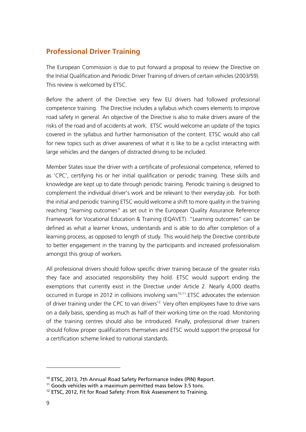#### **Professional Driver Training**

The European Commission is due to put forward a proposal to review the Directive on the Initial Qualification and Periodic Driver Training of drivers of certain vehicles (2003/59). This review is welcomed by ETSC.

Before the advent of the Directive very few EU drivers had followed professional competence training. The Directive includes a syllabus which covers elements to improve road safety in general. An objective of the Directive is also to make drivers aware of the risks of the road and of accidents at work. ETSC would welcome an update of the topics covered in the syllabus and further harmonisation of the content. ETSC would also call for new topics such as driver awareness of what it is like to be a cyclist interacting with large vehicles and the dangers of distracted driving to be included.

Member States issue the driver with a certificate of professional competence, referred to as 'CPC', certifying his or her initial qualification or periodic training. These skills and knowledge are kept up to date through periodic training. Periodic training is designed to complement the individual driver's work and be relevant to their everyday job. For both the initial and periodic training ETSC would welcome a shift to more quality in the training reaching "learning outcomes" as set out in the European Quality Assurance Reference Framework for Vocational Education & Training (EQAVET). "Learning outcomes" can be defined as what a learner knows, understands and is able to do after completion of a learning process, as opposed to length of study. This would help the Directive contribute to better engagement in the training by the participants and increased professionalism amongst this group of workers.

All professional drivers should follow specific driver training because of the greater risks they face and associated responsibility they hold. ETSC would support ending the exemptions that currently exist in the Directive under Article 2. Nearly 4,000 deaths occurred in Europe in 2012 in collisions involving vans<sup>10,11</sup>. ETSC advocates the extension of driver training under the CPC to van drivers<sup>12.</sup> Very often employees have to drive vans on a daily basis, spending as much as half of their working time on the road. Monitoring of the training centres should also be introduced. Finally, professional driver trainers should follow proper qualifications themselves and ETSC would support the proposal for a certification scheme linked to national standards.

 $\overline{\phantom{a}}$ 

<sup>&</sup>lt;sup>10</sup> ETSC, 2013, 7th Annual Road Safety Performance Index (PIN) Report.

 $11$  Goods vehicles with a maximum permitted mass below 3.5 tons.

<sup>&</sup>lt;sup>12</sup> ETSC, 2012, Fit for Road Safety: From Risk Assessment to Training.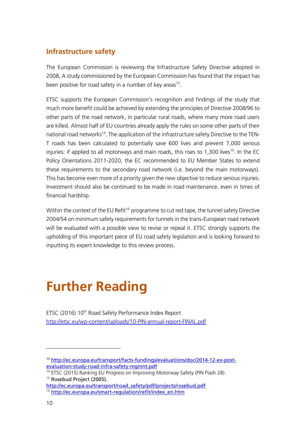#### **Infrastructure safety**

The European Commission is reviewing the Infrastructure Safety Directive adopted in 2008. A study commissioned by the European Commission has found that the impact has been positive for road safety in a number of key areas<sup>13</sup>.

ETSC supports the European Commission's recognition and findings of the study that much more benefit could be achieved by extending the principles of Directive 2008/96 to other parts of the road network, in particular rural roads, where many more road users are killed. Almost half of EU countries already apply the rules on some other parts of their national road networks<sup>14</sup>. The application of the infrastructure safety Directive to the TEN-T roads has been calculated to potentially save 600 lives and prevent 7,000 serious injuries: if applied to all motorways and main roads, this rises to 1,300 lives<sup>15</sup>. In the EC Policy Orientations 2011-2020, the EC recommended to EU Member States to extend these requirements to the secondary road network (i.e. beyond the main motorways). This has become even more of a priority given the new objective to reduce serious injuries. Investment should also be continued to be made in road maintenance, even in times of financial hardship.

Within the context of the EU Refit<sup>16</sup> programme to cut red tape, the tunnel safety Directive 2004/54 on minimum safety requirements for tunnels in the trans-European road network will be evaluated with a possible view to revise or repeal it. ETSC strongly supports the upholding of this important piece of EU road safety legislation and is looking forward to inputting its expert knowledge to this review process.

### **Further Reading**

ETSC (2016) 10<sup>th</sup> Road Safety Performance Index Report <http://etsc.eu/wp-content/uploads/10-PIN-annual-report-FINAL.pdf>

 $\overline{a}$ 

<sup>13</sup> [http://ec.europa.eu/transport/facts-fundings/evaluations/doc/2014-12-ex-post](http://ec.europa.eu/transport/facts-fundings/evaluations/doc/2014-12-ex-post-evaluation-study-road-infra-safety-mgmnt.pdf)[evaluation-study-road-infra-safety-mgmnt.pdf](http://ec.europa.eu/transport/facts-fundings/evaluations/doc/2014-12-ex-post-evaluation-study-road-infra-safety-mgmnt.pdf)

<sup>&</sup>lt;sup>14</sup> ETSC (2015) Ranking EU Progress on Improving Motorway Safety (PIN Flash 28). <sup>15</sup> Rosebud Project (2005).

[http://ec.europa.eu/transport/road\\_safety/pdf/projects/rosebud.pdf](http://ec.europa.eu/transport/road_safety/pdf/projects/rosebud.pdf) <sup>16</sup> [http://ec.europa.eu/smart-regulation/refit/index\\_en.htm](http://ec.europa.eu/smart-regulation/refit/index_en.htm)